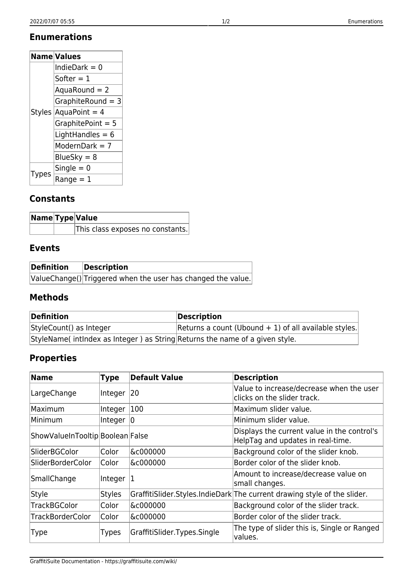## **Enumerations**

| <b>Name Values</b> |                    |  |
|--------------------|--------------------|--|
| Styles             | IndieDark = 0      |  |
|                    | Softer $= 1$       |  |
|                    | $Aquad$ Round = 2  |  |
|                    | GraphiteRound = 3  |  |
|                    | $Aquapoint = 4$    |  |
|                    | GraphitePoint = 5  |  |
|                    | LightHandles = $6$ |  |
|                    | ModernDark = $7$   |  |
|                    | BlueSky = $8$      |  |
| <b>lypes</b>       | Single $= 0$       |  |
|                    | $Range = 1$        |  |

# **Constants**

|  | Name Type Value                  |  |
|--|----------------------------------|--|
|  | This class exposes no constants. |  |

# **Events**

| Definition | Description                                                  |
|------------|--------------------------------------------------------------|
|            | ValueChange() Triggered when the user has changed the value. |

#### **Methods**

| Definition                                                                  | Description                                             |
|-----------------------------------------------------------------------------|---------------------------------------------------------|
| StyleCount() as Integer                                                     | Returns a count (Ubound $+1$ ) of all available styles. |
| StyleName(intindex as Integer) as String Returns the name of a given style. |                                                         |

# **Properties**

| <b>Name</b>                      | <b>Type</b>   | <b>Default Value</b>          | <b>Description</b>                                                               |
|----------------------------------|---------------|-------------------------------|----------------------------------------------------------------------------------|
| LargeChange                      | Integer $ 20$ |                               | Value to increase/decrease when the user<br>clicks on the slider track.          |
| Maximum                          | Integer       | 100                           | Maximum slider value.                                                            |
| Minimum                          | Integer $ 0 $ |                               | Minimum slider value.                                                            |
| ShowValueInTooltip Boolean False |               |                               | Displays the current value in the control's<br>HelpTag and updates in real-time. |
| SliderBGColor                    | Color         | &c000000                      | Background color of the slider knob.                                             |
| SliderBorderColor                | Color         | &c000000                      | Border color of the slider knob.                                                 |
| SmallChange                      | Integer       | 11                            | Amount to increase/decrease value on<br>small changes.                           |
| Style                            | <b>Styles</b> |                               | GraffitiSlider.Styles.IndieDark The current drawing style of the slider.         |
| <b>TrackBGColor</b>              | Color         | &c000000                      | Background color of the slider track.                                            |
| <b>TrackBorderColor</b>          | Color         | &c000000                      | Border color of the slider track.                                                |
| <b>Type</b>                      | <b>Types</b>  | GraffitiSlider. Types. Single | The type of slider this is, Single or Ranged<br>values.                          |